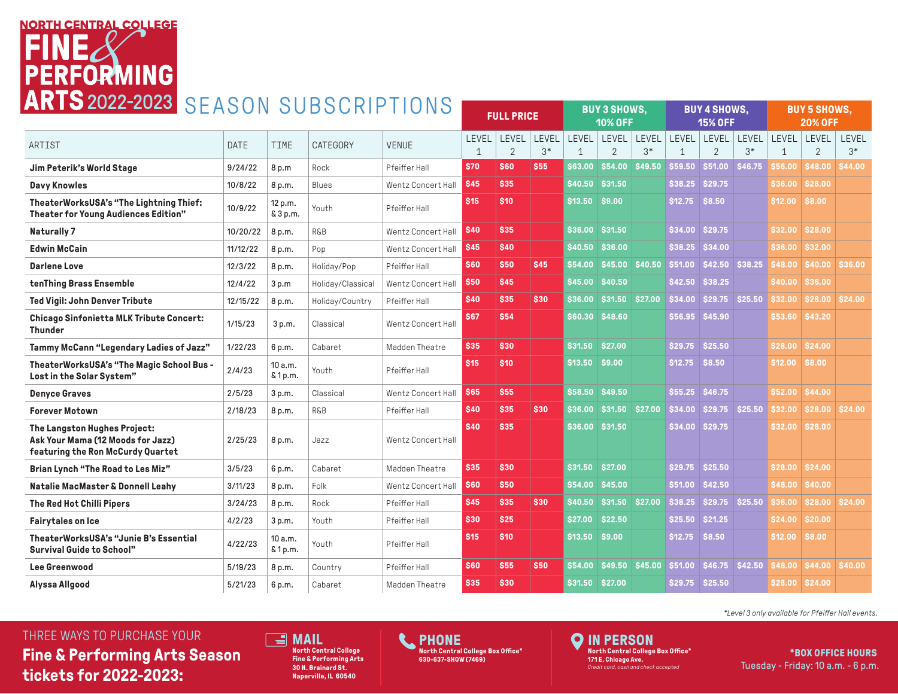## **NORTH CENTRAL COLLEGE PERFORMING** ARTS 2022-2023 SEASON SUBSCRIPTIONS

| <b>AINTUZUZZ ZUZU DEADUN OUDOURIP ITUNO</b>                                                            |          |                     | <b>FULL PRICE</b> |                    | <b>BUY 3 SHOWS,</b><br><b>10% OFF</b> |                        | <b>BUY 4 SHOWS,</b><br><b>15% OFF</b> |                 |                               | <b>BUY 5 SHOWS,</b><br><b>20% OFF</b> |                 |                         |                |                |                                      |               |
|--------------------------------------------------------------------------------------------------------|----------|---------------------|-------------------|--------------------|---------------------------------------|------------------------|---------------------------------------|-----------------|-------------------------------|---------------------------------------|-----------------|-------------------------|----------------|----------------|--------------------------------------|---------------|
| ARTIST                                                                                                 | DATE     | <b>TIME</b>         | CATEGORY          | <b>VENUE</b>       | LEVEL                                 | LEVEL<br>$\mathcal{P}$ | LEVEL<br>$3*$                         | LEVEL           | LEVEL LEVEL<br>$\mathfrak{D}$ | $3*$                                  |                 | LEVEL LEVEL             | LEVEL<br>$3*$  | LEVEL          | LEVEL <sup>1</sup><br>$\mathfrak{D}$ | LEVEL<br>$3*$ |
| Jim Peterik's World Stage                                                                              | 9/24/22  | 8 p.m               | Rock              | Pfeiffer Hall      | \$70                                  | <b>S60</b>             | <b>S55</b>                            |                 | S63.00 S54.00 S49.50          |                                       | \$59.50         | \$51.00                 | \$46.75        |                | S56.00   S48.00   S44.00             |               |
| <b>Davy Knowles</b>                                                                                    | 10/8/22  | 8 p.m.              | Blues             | Wentz Concert Hall | <b>\$45</b>                           | <b>\$35</b>            |                                       | \$40.50         | S31.50                        |                                       | \$38.25         | <b>\$29.75</b>          |                |                | \$36.00 \$28.00                      |               |
| TheaterWorksUSA's "The Lightning Thief:<br><b>Theater for Young Audiences Edition"</b>                 | 10/9/22  | 12 p.m.<br>& 3 p.m. | Youth             | Pfeiffer Hall      | \$15                                  | \$10                   |                                       | \$13,50 \$9,00  |                               |                                       | \$12.75         | \$8.50                  |                | \$12.00 \$8.00 |                                      |               |
| Naturally 7                                                                                            | 10/20/22 | 8 p.m.              | <b>R&amp;B</b>    | Wentz Concert Hall | <b>S40</b>                            | <b>S35</b>             |                                       |                 | \$36,00 \$31.50               |                                       | \$34.00         | <b>\$29.75</b>          |                |                | S32.00 S28.00                        |               |
| <b>Edwin McCain</b>                                                                                    | 11/12/22 | 8 p.m.              | Pop               | Wentz Concert Hall | \$45                                  | \$40                   |                                       |                 | $$40.50$ \$36.00              |                                       | \$38.25         | \$34.00                 |                |                | <b>\$36.00 \$32.00</b>               |               |
| <b>Darlene Love</b>                                                                                    | 12/3/22  | 8 p.m.              | Holiday/Pop       | Pfeiffer Hall      | <b>S60</b>                            | <b>\$50</b>            | <b>S45</b>                            |                 | \$54.00 \$45.00 \$40.50       |                                       | \$51.00         | \$42.50 \$38.25         |                |                | <b>\$48.00 \$40.00 \$36.00</b>       |               |
| tenThing Brass Ensemble                                                                                | 12/4/22  | 3 p.m               | Holiday/Classical | Wentz Concert Hall | \$50                                  | <b>S45</b>             |                                       |                 | \$45,00 \$40,50               |                                       | <b>S42.50</b>   | \$38.25                 |                |                | \$40.00 \$36.00                      |               |
| Ted Vigil: John Denver Tribute                                                                         | 12/15/22 | 8 p.m.              | Holiday/Country   | Pfeiffer Hall      | <b>S40</b>                            | <b>S35</b>             | <b>S30</b>                            |                 | \$36.00 \$31.50 \$27.00       |                                       |                 | \$34.00 \$29.75 \$25.50 |                |                | \$32.00 \$28.00 \$24.00              |               |
| <b>Chicago Sinfonietta MLK Tribute Concert:</b><br><b>Thunder</b>                                      | 1/15/23  | 3 p.m.              | Classical         | Wentz Concert Hall | <b>S67</b>                            | \$54                   |                                       |                 | S60.30 S48.60                 |                                       | \$56.95         | \$45.90                 |                |                | S53.60 S43.20                        |               |
| Tammy McCann "Legendary Ladies of Jazz"                                                                | 1/22/23  | 6 p.m.              | Cabaret           | Madden Theatre     | \$35                                  | \$30                   |                                       | \$31.50 \$27.00 |                               |                                       | <b>S29.75</b>   | <b>\$25.50</b>          |                |                | <b>\$28.00 \$24.00</b>               |               |
| TheaterWorksUSA's "The Magic School Bus -<br>Lost in the Solar System"                                 | 2/4/23   | 10 a.m.<br>& 1 p.m. | Youth             | Pfeiffer Hall      | <b>S15</b>                            | \$10                   |                                       | \$13,50 \$9,00  |                               |                                       | \$12.75         | \$8.50                  |                | \$12.00 \$8.00 |                                      |               |
| <b>Denyce Graves</b>                                                                                   | 2/5/23   | 3 p.m.              | Classical         | Wentz Concert Hall | \$65                                  | <b>\$55</b>            |                                       |                 | \$58,50 \$49.50               |                                       | \$55.25         | S46.75                  |                |                | \$52.00 \$44.00                      |               |
| <b>Forever Motown</b>                                                                                  | 2/18/23  | 8 p.m.              | <b>R&amp;B</b>    | Pfeiffer Hall      | <b>S40</b>                            | \$35                   | <b>S30</b>                            | \$36.00         | \$31.50 \$27.00               |                                       | \$34.00         | \$29.75                 | \$25.50        | \$32.00        | \$28.00 \$24.00                      |               |
| The Langston Hughes Project:<br>Ask Your Mama (12 Moods for Jazz)<br>featuring the Ron McCurdy Quartet | 2/25/23  | 8 p.m.              | Jazz              | Wentz Concert Hall | <b>S40</b>                            | <b>S35</b>             |                                       |                 | <b>\$36.00 \$31.50</b>        |                                       | \$34.00         | \$29.75                 |                |                | S32.00 S28.00                        |               |
| Brian Lynch "The Road to Les Miz"                                                                      | 3/5/23   | 6 p.m.              | Cabaret           | Madden Theatre     | \$35                                  | <b>S30</b>             |                                       | \$31.50         | <b>\$27.00</b>                |                                       | <b>\$29.75</b>  | <b>\$25.50</b>          |                |                | \$28.00 \$24.00                      |               |
| <b>Natalie MacMaster &amp; Donnell Leahy</b>                                                           | 3/11/23  | 8 p.m.              | Folk              | Wentz Concert Hall | <b>S60</b>                            | <b>\$50</b>            |                                       |                 | \$54.00 \$45.00               |                                       | \$51.00         | \$42.50                 |                | \$48.00        | \$40.00                              |               |
| The Red Hot Chilli Pipers                                                                              | 3/24/23  | 8 p.m.              | Rock              | Pfeiffer Hall      | <b>\$45</b>                           | <b>S35</b>             | <b>S30</b>                            |                 | \$40.50 \$31.50 \$27.00       |                                       | \$38.25         | <b>S29.75</b>           | \$25.50        |                | <b>\$36.00 \$28.00 \$24.00</b>       |               |
| <b>Fairytales on Ice</b>                                                                               | 4/2/23   | 3 p.m.              | Youth             | Pfeiffer Hall      | \$30                                  | <b>S25</b>             |                                       | \$27.00         | <b>S22.50</b>                 |                                       | \$25.50 \$21.25 |                         |                |                | \$24.00 \$20.00                      |               |
| TheaterWorksUSA's "Junie B's Essential<br><b>Survival Guide to School"</b>                             | 4/22/23  | 10 a.m.<br>& 1 p.m. | Youth             | Pfeiffer Hall      | <b>S15</b>                            | \$10                   |                                       | \$13,50 \$9,00  |                               |                                       | <b>S12.75</b>   | \$8.50                  |                | \$12.00 \$8.00 |                                      |               |
| Lee Greenwood                                                                                          | 5/19/23  | 8 p.m.              | Country           | Pfeiffer Hall      | <b>S60</b>                            | <b>S55</b>             | <b>S50</b>                            | <b>S54.00</b>   | \$49.50 \$45.00               |                                       | \$51.00         | \$46.75                 | <b>\$42.50</b> | 348.00 I       | \$44.00 \$40.00                      |               |
| Alyssa Allgood                                                                                         | 5/21/23  | 6 p.m.              | Cabaret           | Madden Theatre     | <b>S35</b>                            | \$30                   |                                       | \$31.50 \$27.00 |                               |                                       | <b>S29.75</b>   | \$25.50                 |                |                | S28.00 S24.00                        |               |

### THREE WAYS TO PURCHASE YOUR **MAIL**

**Fine & Performing Arts Season tickets for 2022-2023:**

**North Central College Fine & Performing Arts 30 N. Brainard St. Naperville, IL 60540**

**PHONE North Central College Box Office\* 630-637-SHOW (7469)**

L

**O** IN PERSON **North Central College Box Office\* 171 E. Chicago Ave.** *Credit card, cash and check accepted*

*\*Level 3 only available for Pfeiffer Hall events.*

**\*BOX OFFICE HOURS** Tuesday - Friday: 10 a.m. - 6 p.m.